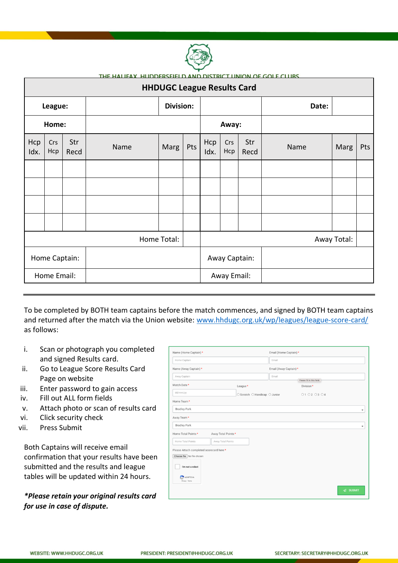

| <u>THE HALLEAY HUDDERSEIELD AND DISTRICT UNION OF GOLF CLURS.</u><br><b>HHDUGC League Results Card</b> |            |             |      |                  |       |             |               |             |       |      |     |
|--------------------------------------------------------------------------------------------------------|------------|-------------|------|------------------|-------|-------------|---------------|-------------|-------|------|-----|
| League:                                                                                                |            |             |      | <b>Division:</b> |       |             |               |             | Date: |      |     |
| Home:                                                                                                  |            |             |      |                  | Away: |             |               |             |       |      |     |
| Hcp<br>Idx.                                                                                            | Crs<br>Hcp | Str<br>Recd | Name | Marg             | Pts   | Hcp<br>Idx. | Crs<br>Hcp    | Str<br>Recd | Name  | Marg | Pts |
|                                                                                                        |            |             |      |                  |       |             |               |             |       |      |     |
|                                                                                                        |            |             |      |                  |       |             |               |             |       |      |     |
|                                                                                                        |            |             |      |                  |       |             |               |             |       |      |     |
|                                                                                                        |            |             |      |                  |       |             |               |             |       |      |     |
| Home Total:                                                                                            |            |             |      |                  |       | Away Total: |               |             |       |      |     |
| Home Captain:                                                                                          |            |             |      |                  |       |             | Away Captain: |             |       |      |     |
| Home Email:                                                                                            |            |             |      |                  |       |             | Away Email:   |             |       |      |     |

To be completed by BOTH team captains before the match commences, and signed by BOTH team captains and returned after the match via the Union website: [www.hhdugc.org.uk/wp/leagues/league-score-card/](http://www.hhdugc.org.uk/wp/leagues/league-score-card/) as follows:

- i. Scan or photograph you completed and signed Results card.
- ii. Go to League Score Results Card Page on website
- iii. Enter password to gain access
- iv. Fill out ALL form fields
- v. Attach photo or scan of results card
- vi. Click security check
- vii. Press Submit

Both Captains will receive email confirmation that your results have been submitted and the results and league tables will be updated within 24 hours.

*\*Please retain your original results card for use in case of dispute.*

| Name (Home Captain) *                    |                               | Email (Home Captain) * |                            |                          |
|------------------------------------------|-------------------------------|------------------------|----------------------------|--------------------------|
| Home Captain                             |                               | Email                  |                            |                          |
| Name (Away Captain) *                    |                               | Email (Away Captain) * |                            |                          |
| Away Captain                             |                               | Email                  | Please fill in this field. |                          |
| Match Date*                              | League *                      |                        | Division*                  |                          |
| dd/mm/yy                                 | ○ Scratch ○ Handicap ○ Junior |                        | 01 02 03 04                |                          |
| Home Team*                               |                               |                        |                            |                          |
| <b>Bradley Park</b>                      |                               |                        |                            | $\blacksquare$           |
| Away Team*                               |                               |                        |                            |                          |
| <b>Bradley Park</b>                      |                               |                        |                            | $\overline{\phantom{a}}$ |
| Home Total Points*<br>Away Total Points* |                               |                        |                            |                          |
| Home Total Points<br>Away Total Points   |                               |                        |                            |                          |
| Please Attach completed scorecard here*  |                               |                        |                            |                          |
| Choose file No file chosen               |                               |                        |                            |                          |
| I'm not a robot                          |                               |                        |                            |                          |
| <b>PE reCAPTCHA</b><br>Privacy - Terms   |                               |                        |                            |                          |
|                                          |                               |                        |                            | $\sqrt{a}$ SUBMIT        |